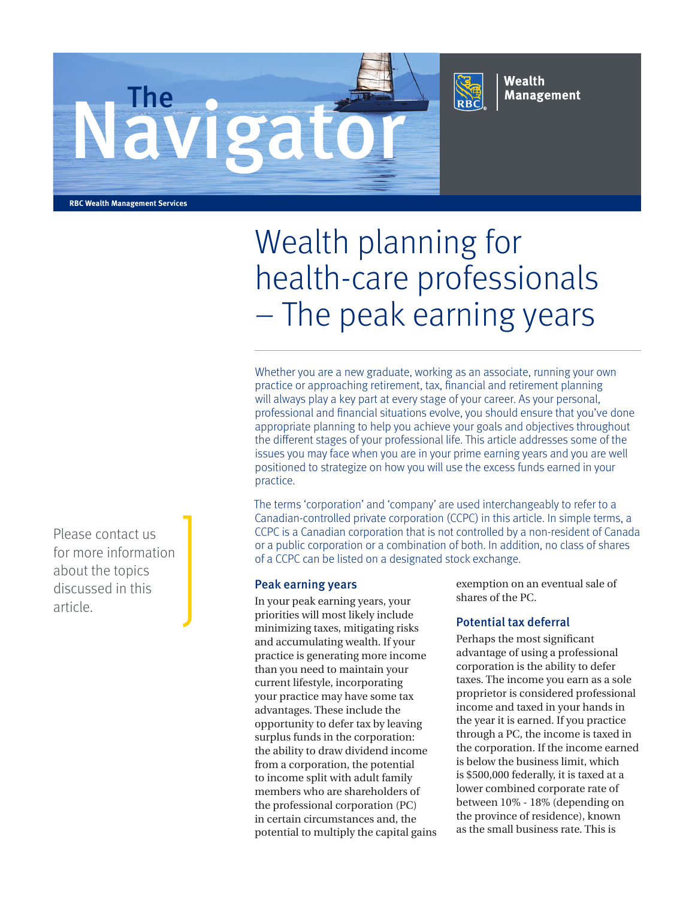



Wealth **Management** 

**RBC Wealth Management Services**

# Wealth planning for health-care professionals – The peak earning years

Whether you are a new graduate, working as an associate, running your own practice or approaching retirement, tax, financial and retirement planning will always play a key part at every stage of your career. As your personal, professional and financial situations evolve, you should ensure that you've done appropriate planning to help you achieve your goals and objectives throughout the different stages of your professional life. This article addresses some of the issues you may face when you are in your prime earning years and you are well positioned to strategize on how you will use the excess funds earned in your practice.

The terms 'corporation' and 'company' are used interchangeably to refer to a Canadian-controlled private corporation (CCPC) in this article. In simple terms, a CCPC is a Canadian corporation that is not controlled by a non-resident of Canada or a public corporation or a combination of both. In addition, no class of shares of a CCPC can be listed on a designated stock exchange.

#### Peak earning years

In your peak earning years, your priorities will most likely include minimizing taxes, mitigating risks and accumulating wealth. If your practice is generating more income than you need to maintain your current lifestyle, incorporating your practice may have some tax advantages. These include the opportunity to defer tax by leaving surplus funds in the corporation: the ability to draw dividend income from a corporation, the potential to income split with adult family members who are shareholders of the professional corporation (PC) in certain circumstances and, the potential to multiply the capital gains exemption on an eventual sale of shares of the PC.

## Potential tax deferral

Perhaps the most significant advantage of using a professional corporation is the ability to defer taxes. The income you earn as a sole proprietor is considered professional income and taxed in your hands in the year it is earned. If you practice through a PC, the income is taxed in the corporation. If the income earned is below the business limit, which is \$500,000 federally, it is taxed at a lower combined corporate rate of between 10% - 18% (depending on the province of residence), known as the small business rate. This is

Please contact us for more information about the topics discussed in this article.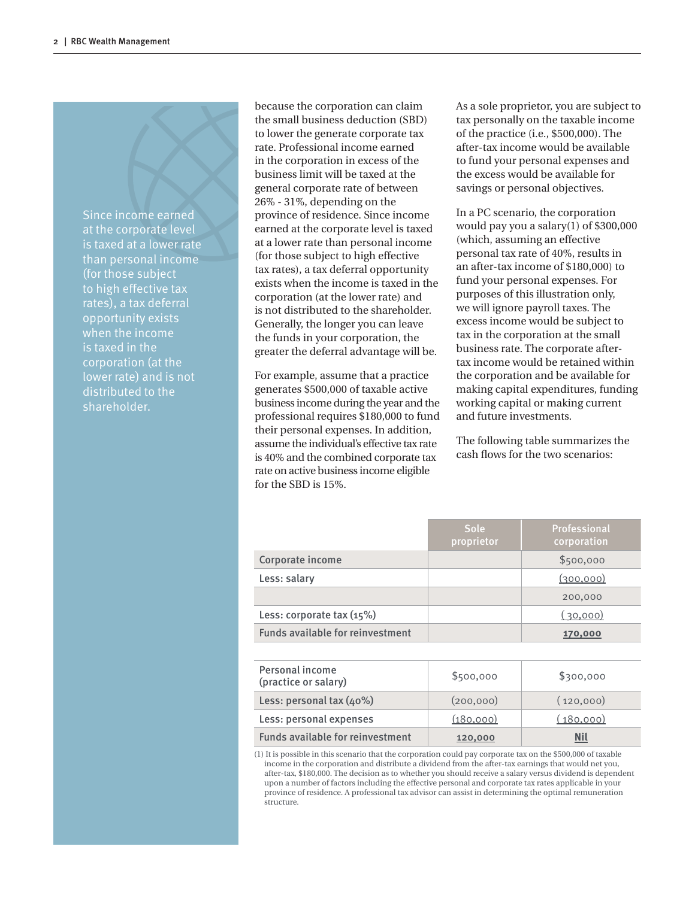Since income earned at the corporate level is taxed at a lower rate than personal income (for those subject to high effective tax rates), a tax deferral opportunity exists when the income is taxed in the corporation (at the lower rate) and is not distributed to the shareholder.

because the corporation can claim the small business deduction (SBD) to lower the generate corporate tax rate. Professional income earned in the corporation in excess of the business limit will be taxed at the general corporate rate of between 26% - 31%, depending on the province of residence. Since income earned at the corporate level is taxed at a lower rate than personal income (for those subject to high effective tax rates), a tax deferral opportunity exists when the income is taxed in the corporation (at the lower rate) and is not distributed to the shareholder. Generally, the longer you can leave the funds in your corporation, the greater the deferral advantage will be.

For example, assume that a practice generates \$500,000 of taxable active business income during the year and the professional requires \$180,000 to fund their personal expenses. In addition, assume the individual's effective tax rate is 40% and the combined corporate tax rate on active business income eligible for the SBD is 15%.

As a sole proprietor, you are subject to tax personally on the taxable income of the practice (i.e., \$500,000). The after-tax income would be available to fund your personal expenses and the excess would be available for savings or personal objectives.

In a PC scenario, the corporation would pay you a salary(1) of \$300,000 (which, assuming an effective personal tax rate of 40%, results in an after-tax income of \$180,000) to fund your personal expenses. For purposes of this illustration only, we will ignore payroll taxes. The excess income would be subject to tax in the corporation at the small business rate. The corporate aftertax income would be retained within the corporation and be available for making capital expenditures, funding working capital or making current and future investments.

The following table summarizes the cash flows for the two scenarios:

|                                         | Sole<br>proprietor | Professional<br>corporation |  |  |
|-----------------------------------------|--------------------|-----------------------------|--|--|
| Corporate income                        |                    | \$500,000                   |  |  |
| Less: salary                            |                    | (300,000)                   |  |  |
|                                         |                    | 200,000                     |  |  |
| Less: corporate tax (15%)               |                    | (30,000)                    |  |  |
|                                         |                    |                             |  |  |
| <b>Funds available for reinvestment</b> |                    | 170,000                     |  |  |
|                                         |                    |                             |  |  |
| Personal income<br>(practice or salary) | \$500,000          | \$300,000                   |  |  |
| Less: personal tax (40%)                | (200,000)          | (120,000)                   |  |  |

(1) It is possible in this scenario that the corporation could pay corporate tax on the \$500,000 of taxable income in the corporation and distribute a dividend from the after-tax earnings that would net you, after-tax, \$180,000. The decision as to whether you should receive a salary versus dividend is dependent upon a number of factors including the effective personal and corporate tax rates applicable in your province of residence. A professional tax advisor can assist in determining the optimal remuneration <u>structure</u>.

Funds available for reinvestment 120,000 **Nil**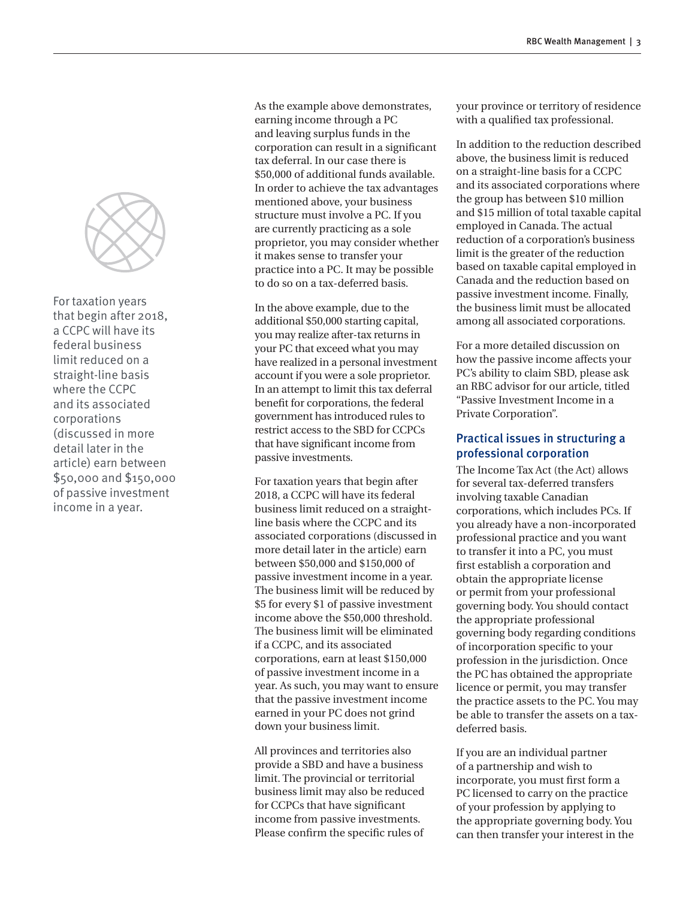

For taxation years that begin after 2018, a CCPC will have its federal business limit reduced on a straight-line basis where the CCPC and its associated corporations (discussed in more detail later in the article) earn between \$50,000 and \$150,000 of passive investment income in a year.

As the example above demonstrates, earning income through a PC and leaving surplus funds in the corporation can result in a significant tax deferral. In our case there is \$50,000 of additional funds available. In order to achieve the tax advantages mentioned above, your business structure must involve a PC. If you are currently practicing as a sole proprietor, you may consider whether it makes sense to transfer your practice into a PC. It may be possible to do so on a tax-deferred basis.

In the above example, due to the additional \$50,000 starting capital, you may realize after-tax returns in your PC that exceed what you may have realized in a personal investment account if you were a sole proprietor. In an attempt to limit this tax deferral benefit for corporations, the federal government has introduced rules to restrict access to the SBD for CCPCs that have significant income from passive investments.

For taxation years that begin after 2018, a CCPC will have its federal business limit reduced on a straightline basis where the CCPC and its associated corporations (discussed in more detail later in the article) earn between \$50,000 and \$150,000 of passive investment income in a year. The business limit will be reduced by \$5 for every \$1 of passive investment income above the \$50,000 threshold. The business limit will be eliminated if a CCPC, and its associated corporations, earn at least \$150,000 of passive investment income in a year. As such, you may want to ensure that the passive investment income earned in your PC does not grind down your business limit.

All provinces and territories also provide a SBD and have a business limit. The provincial or territorial business limit may also be reduced for CCPCs that have significant income from passive investments. Please confirm the specific rules of your province or territory of residence with a qualified tax professional.

In addition to the reduction described above, the business limit is reduced on a straight-line basis for a CCPC and its associated corporations where the group has between \$10 million and \$15 million of total taxable capital employed in Canada. The actual reduction of a corporation's business limit is the greater of the reduction based on taxable capital employed in Canada and the reduction based on passive investment income. Finally, the business limit must be allocated among all associated corporations.

For a more detailed discussion on how the passive income affects your PC's ability to claim SBD, please ask an RBC advisor for our article, titled "Passive Investment Income in a Private Corporation".

## Practical issues in structuring a professional corporation

The Income Tax Act (the Act) allows for several tax-deferred transfers involving taxable Canadian corporations, which includes PCs. If you already have a non-incorporated professional practice and you want to transfer it into a PC, you must first establish a corporation and obtain the appropriate license or permit from your professional governing body. You should contact the appropriate professional governing body regarding conditions of incorporation specific to your profession in the jurisdiction. Once the PC has obtained the appropriate licence or permit, you may transfer the practice assets to the PC. You may be able to transfer the assets on a taxdeferred basis.

If you are an individual partner of a partnership and wish to incorporate, you must first form a PC licensed to carry on the practice of your profession by applying to the appropriate governing body. You can then transfer your interest in the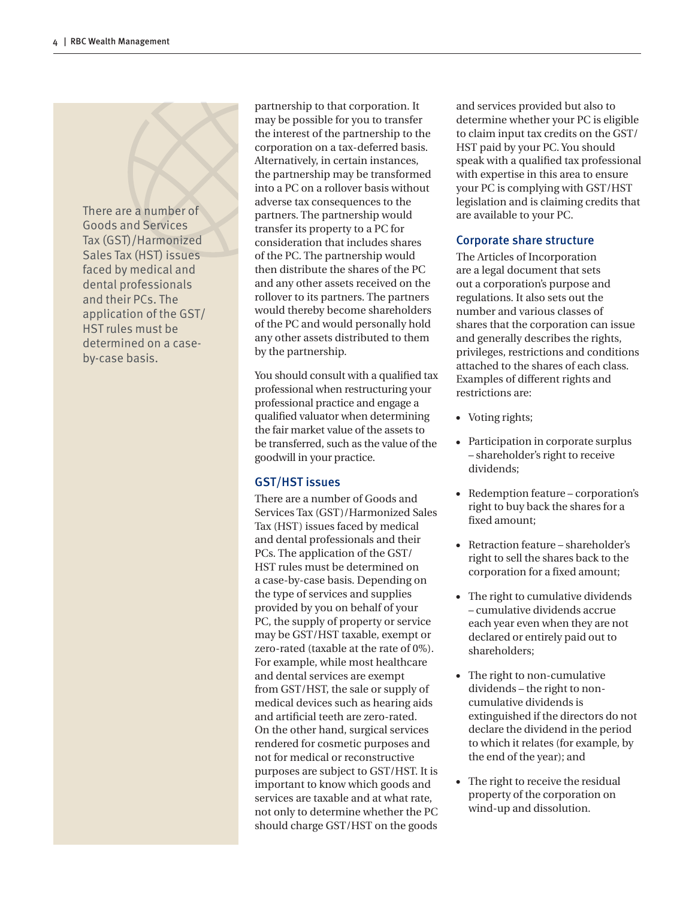There are a number of Goods and Services Tax (GST)/Harmonized Sales Tax (HST) issues faced by medical and dental professionals and their PCs. The application of the GST/ HST rules must be determined on a caseby-case basis.

partnership to that corporation. It may be possible for you to transfer the interest of the partnership to the corporation on a tax-deferred basis. Alternatively, in certain instances, the partnership may be transformed into a PC on a rollover basis without adverse tax consequences to the partners. The partnership would transfer its property to a PC for consideration that includes shares of the PC. The partnership would then distribute the shares of the PC and any other assets received on the rollover to its partners. The partners would thereby become shareholders of the PC and would personally hold any other assets distributed to them by the partnership.

You should consult with a qualified tax professional when restructuring your professional practice and engage a qualified valuator when determining the fair market value of the assets to be transferred, such as the value of the goodwill in your practice.

## GST/HST issues

There are a number of Goods and Services Tax (GST)/Harmonized Sales Tax (HST) issues faced by medical and dental professionals and their PCs. The application of the GST/ HST rules must be determined on a case-by-case basis. Depending on the type of services and supplies provided by you on behalf of your PC, the supply of property or service may be GST/HST taxable, exempt or zero-rated (taxable at the rate of 0%). For example, while most healthcare and dental services are exempt from GST/HST, the sale or supply of medical devices such as hearing aids and artificial teeth are zero-rated. On the other hand, surgical services rendered for cosmetic purposes and not for medical or reconstructive purposes are subject to GST/HST. It is important to know which goods and services are taxable and at what rate, not only to determine whether the PC should charge GST/HST on the goods and services provided but also to determine whether your PC is eligible to claim input tax credits on the GST/ HST paid by your PC. You should speak with a qualified tax professional with expertise in this area to ensure your PC is complying with GST/HST legislation and is claiming credits that are available to your PC.

# Corporate share structure

The Articles of Incorporation are a legal document that sets out a corporation's purpose and regulations. It also sets out the number and various classes of shares that the corporation can issue and generally describes the rights, privileges, restrictions and conditions attached to the shares of each class. Examples of different rights and restrictions are:

- Voting rights;
- Participation in corporate surplus – shareholder's right to receive dividends;
- Redemption feature corporation's right to buy back the shares for a fixed amount;
- Retraction feature shareholder's right to sell the shares back to the corporation for a fixed amount;
- The right to cumulative dividends – cumulative dividends accrue each year even when they are not declared or entirely paid out to shareholders;
- The right to non-cumulative dividends – the right to noncumulative dividends is extinguished if the directors do not declare the dividend in the period to which it relates (for example, by the end of the year); and
- The right to receive the residual property of the corporation on wind-up and dissolution.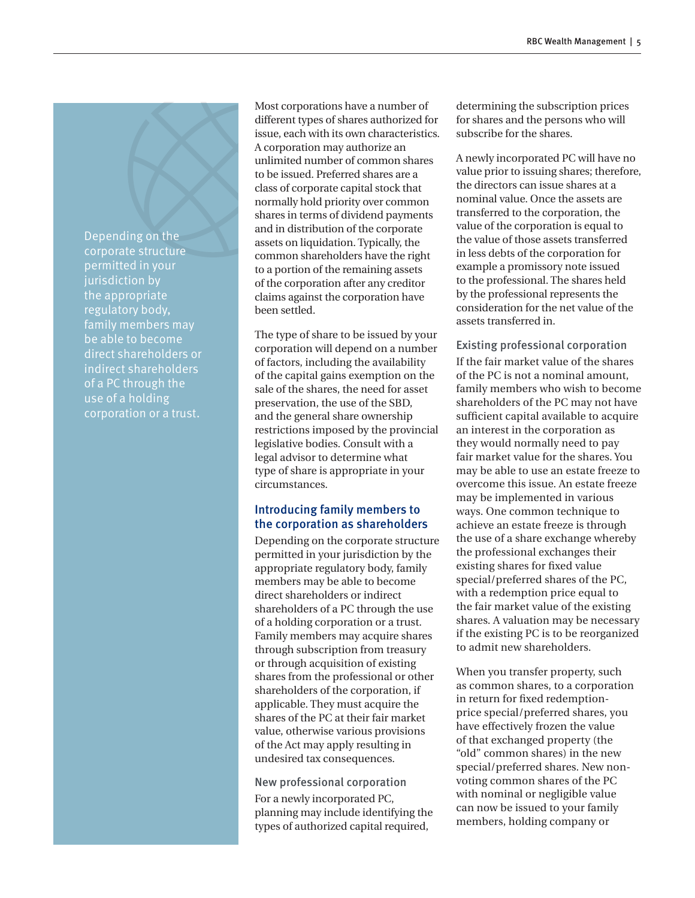Depending on the corporate structure permitted in your jurisdiction by the appropriate regulatory body, family members may be able to become direct shareholders or indirect shareholders of a PC through the use of a holding corporation or a trust.

Most corporations have a number of different types of shares authorized for issue, each with its own characteristics. A corporation may authorize an unlimited number of common shares to be issued. Preferred shares are a class of corporate capital stock that normally hold priority over common shares in terms of dividend payments and in distribution of the corporate assets on liquidation. Typically, the common shareholders have the right to a portion of the remaining assets of the corporation after any creditor claims against the corporation have been settled.

The type of share to be issued by your corporation will depend on a number of factors, including the availability of the capital gains exemption on the sale of the shares, the need for asset preservation, the use of the SBD, and the general share ownership restrictions imposed by the provincial legislative bodies. Consult with a legal advisor to determine what type of share is appropriate in your circumstances.

## Introducing family members to the corporation as shareholders

Depending on the corporate structure permitted in your jurisdiction by the appropriate regulatory body, family members may be able to become direct shareholders or indirect shareholders of a PC through the use of a holding corporation or a trust. Family members may acquire shares through subscription from treasury or through acquisition of existing shares from the professional or other shareholders of the corporation, if applicable. They must acquire the shares of the PC at their fair market value, otherwise various provisions of the Act may apply resulting in undesired tax consequences.

New professional corporation For a newly incorporated PC, planning may include identifying the types of authorized capital required,

determining the subscription prices for shares and the persons who will subscribe for the shares.

A newly incorporated PC will have no value prior to issuing shares; therefore, the directors can issue shares at a nominal value. Once the assets are transferred to the corporation, the value of the corporation is equal to the value of those assets transferred in less debts of the corporation for example a promissory note issued to the professional. The shares held by the professional represents the consideration for the net value of the assets transferred in.

Existing professional corporation If the fair market value of the shares of the PC is not a nominal amount, family members who wish to become shareholders of the PC may not have sufficient capital available to acquire an interest in the corporation as they would normally need to pay fair market value for the shares. You may be able to use an estate freeze to overcome this issue. An estate freeze may be implemented in various ways. One common technique to achieve an estate freeze is through the use of a share exchange whereby the professional exchanges their existing shares for fixed value special/preferred shares of the PC, with a redemption price equal to the fair market value of the existing shares. A valuation may be necessary if the existing PC is to be reorganized to admit new shareholders.

When you transfer property, such as common shares, to a corporation in return for fixed redemptionprice special/preferred shares, you have effectively frozen the value of that exchanged property (the "old" common shares) in the new special/preferred shares. New nonvoting common shares of the PC with nominal or negligible value can now be issued to your family members, holding company or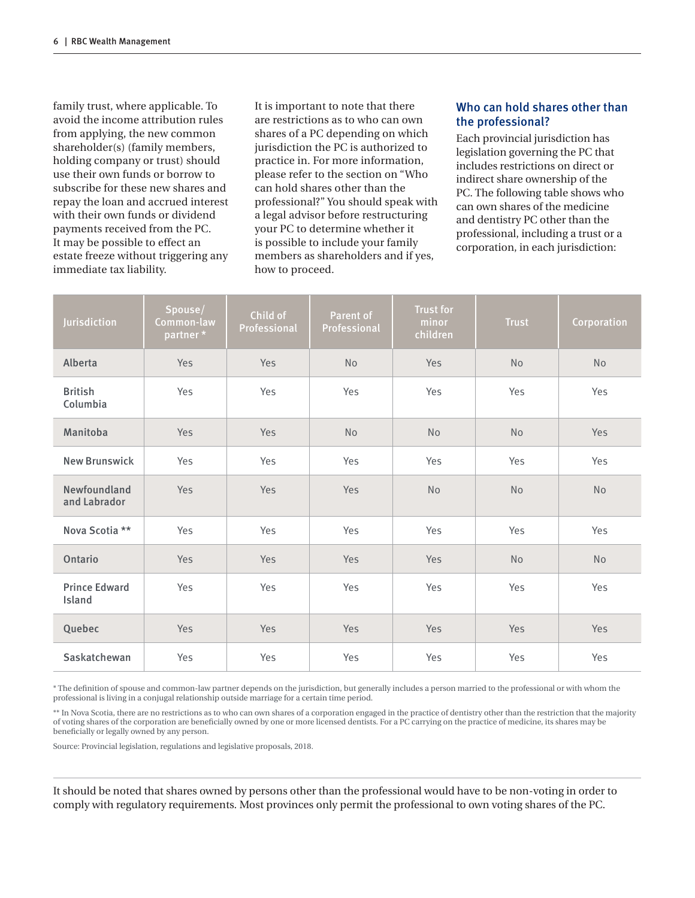family trust, where applicable. To avoid the income attribution rules from applying, the new common shareholder(s) (family members, holding company or trust) should use their own funds or borrow to subscribe for these new shares and repay the loan and accrued interest with their own funds or dividend payments received from the PC. It may be possible to effect an estate freeze without triggering any immediate tax liability.

It is important to note that there are restrictions as to who can own shares of a PC depending on which jurisdiction the PC is authorized to practice in. For more information, please refer to the section on "Who can hold shares other than the professional?" You should speak with a legal advisor before restructuring your PC to determine whether it is possible to include your family members as shareholders and if yes, how to proceed.

# Who can hold shares other than the professional?

Each provincial jurisdiction has legislation governing the PC that includes restrictions on direct or indirect share ownership of the PC. The following table shows who can own shares of the medicine and dentistry PC other than the professional, including a trust or a corporation, in each jurisdiction:

| Jurisdiction                   | Spouse/<br>Common-law<br>partner* | Child of<br>Professional | Parent of<br>Professional | <b>Trust for</b><br>minor<br>children | <b>Trust</b> | Corporation |
|--------------------------------|-----------------------------------|--------------------------|---------------------------|---------------------------------------|--------------|-------------|
| Alberta                        | Yes                               | Yes                      | No                        | <b>Yes</b>                            | No           | <b>No</b>   |
| <b>British</b><br>Columbia     | Yes                               | Yes                      | Yes                       | Yes                                   | Yes          | Yes         |
| Manitoba                       | Yes                               | Yes                      | No                        | No                                    | No           | Yes         |
| <b>New Brunswick</b>           | Yes                               | Yes                      | Yes                       | Yes                                   | Yes          | Yes         |
| Newfoundland<br>and Labrador   | Yes                               | Yes                      | Yes                       | <b>No</b>                             | No           | No          |
| Nova Scotia **                 | Yes                               | Yes                      | Yes                       | Yes                                   | Yes          | Yes         |
| Ontario                        | Yes                               | Yes                      | Yes                       | Yes                                   | No           | No          |
| <b>Prince Edward</b><br>Island | Yes                               | Yes                      | Yes                       | Yes                                   | Yes          | Yes         |
| Quebec                         | Yes                               | Yes                      | Yes                       | Yes                                   | Yes          | Yes         |
| Saskatchewan                   | Yes                               | Yes                      | Yes                       | Yes                                   | Yes          | Yes         |

\* The definition of spouse and common-law partner depends on the jurisdiction, but generally includes a person married to the professional or with whom the professional is living in a conjugal relationship outside marriage for a certain time period.

\*\* In Nova Scotia, there are no restrictions as to who can own shares of a corporation engaged in the practice of dentistry other than the restriction that the majority of voting shares of the corporation are beneficially owned by one or more licensed dentists. For a PC carrying on the practice of medicine, its shares may be beneficially or legally owned by any person.

Source: Provincial legislation, regulations and legislative proposals, 2018.

It should be noted that shares owned by persons other than the professional would have to be non-voting in order to comply with regulatory requirements. Most provinces only permit the professional to own voting shares of the PC.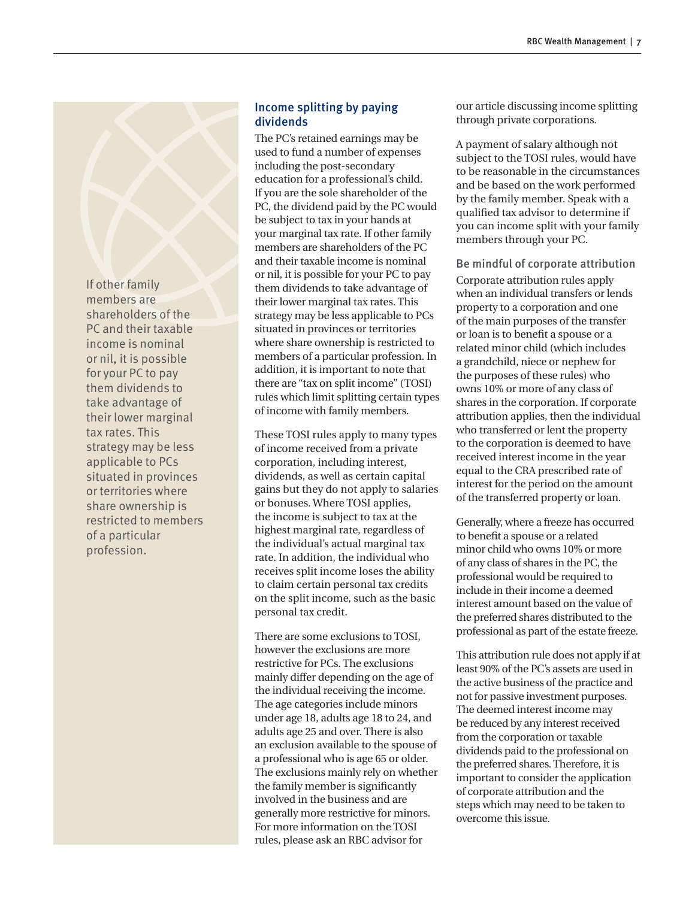If other family members are shareholders of the PC and their taxable income is nominal or nil, it is possible for your PC to pay them dividends to take advantage of their lower marginal tax rates. This strategy may be less applicable to PCs situated in provinces or territories where share ownership is restricted to members of a particular profession.

# Income splitting by paying dividends

The PC's retained earnings may be used to fund a number of expenses including the post-secondary education for a professional's child. If you are the sole shareholder of the PC, the dividend paid by the PC would be subject to tax in your hands at your marginal tax rate. If other family members are shareholders of the PC and their taxable income is nominal or nil, it is possible for your PC to pay them dividends to take advantage of their lower marginal tax rates. This strategy may be less applicable to PCs situated in provinces or territories where share ownership is restricted to members of a particular profession. In addition, it is important to note that there are "tax on split income" (TOSI) rules which limit splitting certain types of income with family members.

These TOSI rules apply to many types of income received from a private corporation, including interest, dividends, as well as certain capital gains but they do not apply to salaries or bonuses. Where TOSI applies, the income is subject to tax at the highest marginal rate, regardless of the individual's actual marginal tax rate. In addition, the individual who receives split income loses the ability to claim certain personal tax credits on the split income, such as the basic personal tax credit.

There are some exclusions to TOSI, however the exclusions are more restrictive for PCs. The exclusions mainly differ depending on the age of the individual receiving the income. The age categories include minors under age 18, adults age 18 to 24, and adults age 25 and over. There is also an exclusion available to the spouse of a professional who is age 65 or older. The exclusions mainly rely on whether the family member is significantly involved in the business and are generally more restrictive for minors. For more information on the TOSI rules, please ask an RBC advisor for

our article discussing income splitting through private corporations.

A payment of salary although not subject to the TOSI rules, would have to be reasonable in the circumstances and be based on the work performed by the family member. Speak with a qualified tax advisor to determine if you can income split with your family members through your PC.

Be mindful of corporate attribution Corporate attribution rules apply when an individual transfers or lends property to a corporation and one of the main purposes of the transfer or loan is to benefit a spouse or a related minor child (which includes a grandchild, niece or nephew for the purposes of these rules) who owns 10% or more of any class of shares in the corporation. If corporate attribution applies, then the individual who transferred or lent the property to the corporation is deemed to have received interest income in the year equal to the CRA prescribed rate of interest for the period on the amount of the transferred property or loan.

Generally, where a freeze has occurred to benefit a spouse or a related minor child who owns 10% or more of any class of shares in the PC, the professional would be required to include in their income a deemed interest amount based on the value of the preferred shares distributed to the professional as part of the estate freeze.

This attribution rule does not apply if at least 90% of the PC's assets are used in the active business of the practice and not for passive investment purposes. The deemed interest income may be reduced by any interest received from the corporation or taxable dividends paid to the professional on the preferred shares. Therefore, it is important to consider the application of corporate attribution and the steps which may need to be taken to overcome this issue.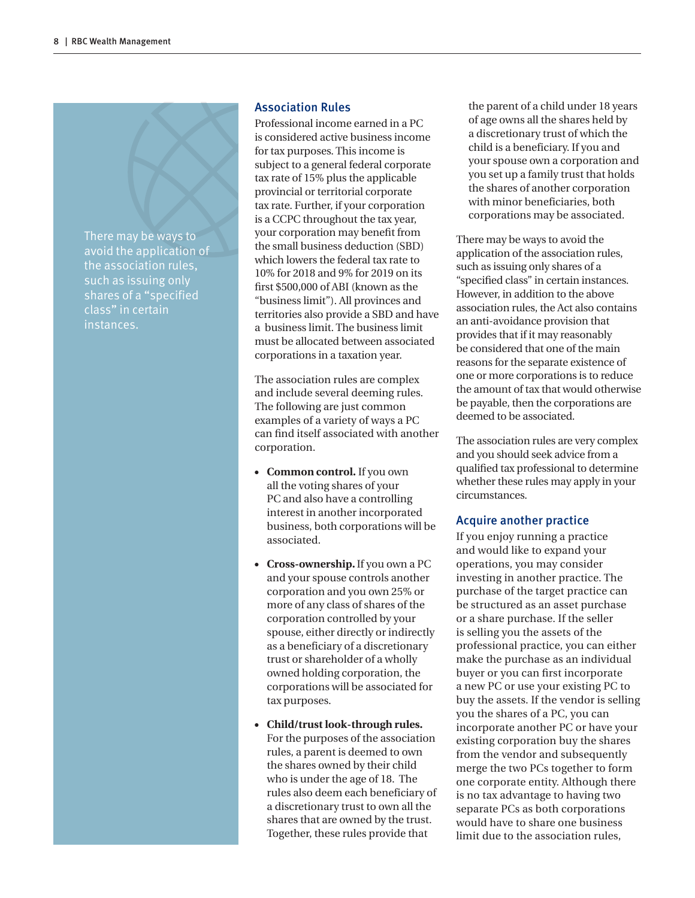There may be ways to avoid the application of the association rules, such as issuing only shares of a "specified class" in certain instances.

#### Association Rules

Professional income earned in a PC is considered active business income for tax purposes. This income is subject to a general federal corporate tax rate of 15% plus the applicable provincial or territorial corporate tax rate. Further, if your corporation is a CCPC throughout the tax year, your corporation may benefit from the small business deduction (SBD) which lowers the federal tax rate to 10% for 2018 and 9% for 2019 on its first \$500,000 of ABI (known as the "business limit"). All provinces and territories also provide a SBD and have a business limit. The business limit must be allocated between associated corporations in a taxation year.

The association rules are complex and include several deeming rules. The following are just common examples of a variety of ways a PC can find itself associated with another corporation.

- **Common control.** If you own all the voting shares of your PC and also have a controlling interest in another incorporated business, both corporations will be associated.
- **Cross-ownership.** If you own a PC and your spouse controls another corporation and you own 25% or more of any class of shares of the corporation controlled by your spouse, either directly or indirectly as a beneficiary of a discretionary trust or shareholder of a wholly owned holding corporation, the corporations will be associated for tax purposes.
- **Child/trust look-through rules.** For the purposes of the association rules, a parent is deemed to own the shares owned by their child who is under the age of 18. The rules also deem each beneficiary of a discretionary trust to own all the shares that are owned by the trust. Together, these rules provide that

the parent of a child under 18 years of age owns all the shares held by a discretionary trust of which the child is a beneficiary. If you and your spouse own a corporation and you set up a family trust that holds the shares of another corporation with minor beneficiaries, both corporations may be associated.

There may be ways to avoid the application of the association rules, such as issuing only shares of a "specified class" in certain instances. However, in addition to the above association rules, the Act also contains an anti-avoidance provision that provides that if it may reasonably be considered that one of the main reasons for the separate existence of one or more corporations is to reduce the amount of tax that would otherwise be payable, then the corporations are deemed to be associated.

The association rules are very complex and you should seek advice from a qualified tax professional to determine whether these rules may apply in your circumstances.

#### Acquire another practice

If you enjoy running a practice and would like to expand your operations, you may consider investing in another practice. The purchase of the target practice can be structured as an asset purchase or a share purchase. If the seller is selling you the assets of the professional practice, you can either make the purchase as an individual buyer or you can first incorporate a new PC or use your existing PC to buy the assets. If the vendor is selling you the shares of a PC, you can incorporate another PC or have your existing corporation buy the shares from the vendor and subsequently merge the two PCs together to form one corporate entity. Although there is no tax advantage to having two separate PCs as both corporations would have to share one business limit due to the association rules,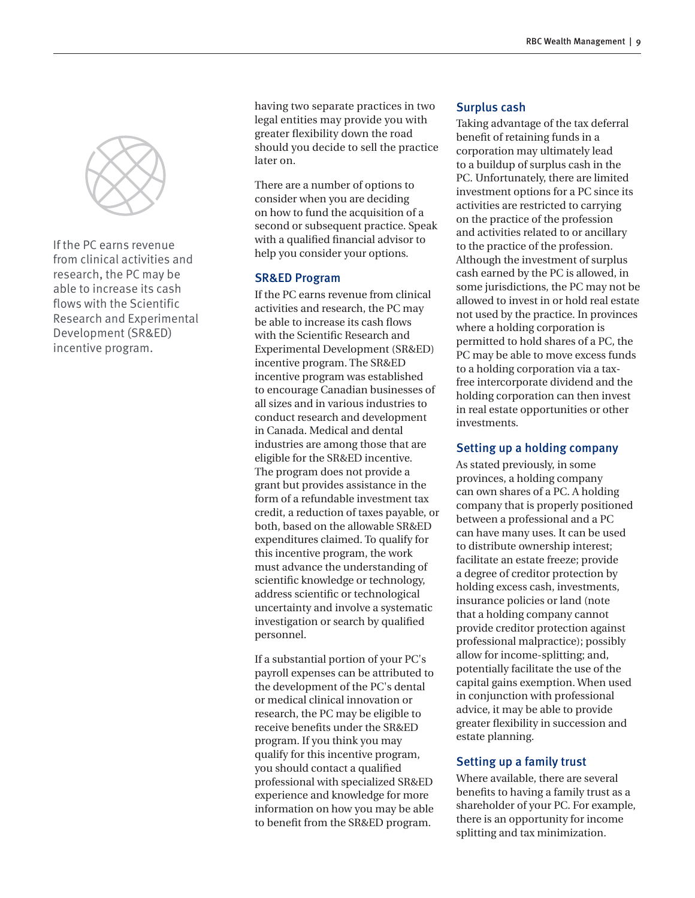

If the PC earns revenue from clinical activities and research, the PC may be able to increase its cash flows with the Scientific Research and Experimental Development (SR&ED) incentive program.

having two separate practices in two legal entities may provide you with greater flexibility down the road should you decide to sell the practice later on.

There are a number of options to consider when you are deciding on how to fund the acquisition of a second or subsequent practice. Speak with a qualified financial advisor to help you consider your options.

## SR&ED Program

If the PC earns revenue from clinical activities and research, the PC may be able to increase its cash flows with the Scientific Research and Experimental Development (SR&ED) incentive program. The SR&ED incentive program was established to encourage Canadian businesses of all sizes and in various industries to conduct research and development in Canada. Medical and dental industries are among those that are eligible for the SR&ED incentive. The program does not provide a grant but provides assistance in the form of a refundable investment tax credit, a reduction of taxes payable, or both, based on the allowable SR&ED expenditures claimed. To qualify for this incentive program, the work must advance the understanding of scientific knowledge or technology, address scientific or technological uncertainty and involve a systematic investigation or search by qualified personnel.

If a substantial portion of your PC's payroll expenses can be attributed to the development of the PC's dental or medical clinical innovation or research, the PC may be eligible to receive benefits under the SR&ED program. If you think you may qualify for this incentive program, you should contact a qualified professional with specialized SR&ED experience and knowledge for more information on how you may be able to benefit from the SR&ED program.

## Surplus cash

Taking advantage of the tax deferral benefit of retaining funds in a corporation may ultimately lead to a buildup of surplus cash in the PC. Unfortunately, there are limited investment options for a PC since its activities are restricted to carrying on the practice of the profession and activities related to or ancillary to the practice of the profession. Although the investment of surplus cash earned by the PC is allowed, in some jurisdictions, the PC may not be allowed to invest in or hold real estate not used by the practice. In provinces where a holding corporation is permitted to hold shares of a PC, the PC may be able to move excess funds to a holding corporation via a taxfree intercorporate dividend and the holding corporation can then invest in real estate opportunities or other investments.

## Setting up a holding company

As stated previously, in some provinces, a holding company can own shares of a PC. A holding company that is properly positioned between a professional and a PC can have many uses. It can be used to distribute ownership interest; facilitate an estate freeze; provide a degree of creditor protection by holding excess cash, investments, insurance policies or land (note that a holding company cannot provide creditor protection against professional malpractice); possibly allow for income-splitting; and, potentially facilitate the use of the capital gains exemption. When used in conjunction with professional advice, it may be able to provide greater flexibility in succession and estate planning.

## Setting up a family trust

Where available, there are several benefits to having a family trust as a shareholder of your PC. For example, there is an opportunity for income splitting and tax minimization.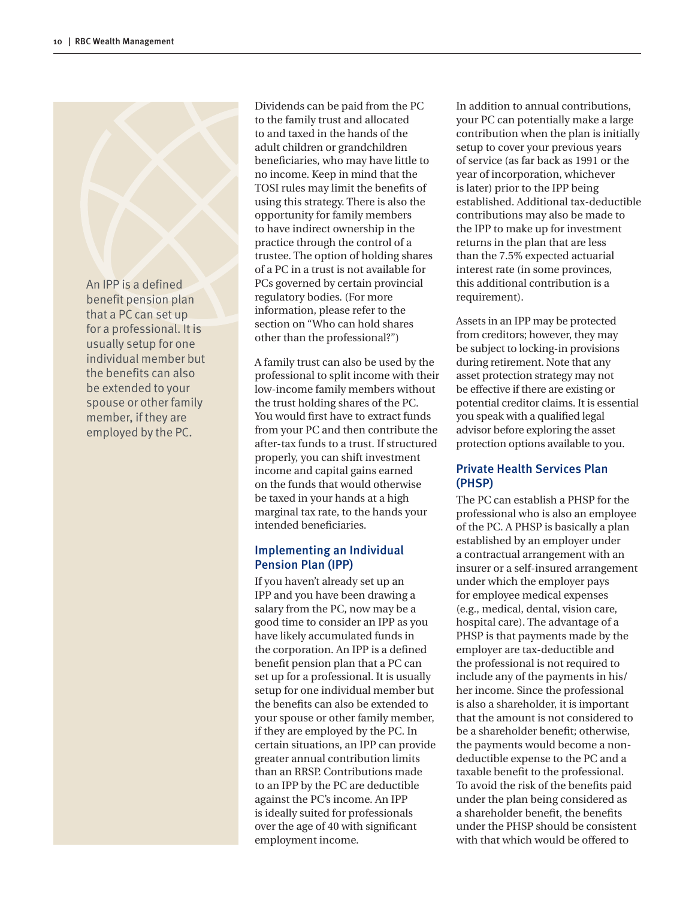An IPP is a defined benefit pension plan that a PC can set up for a professional. It is usually setup for one individual member but the benefits can also be extended to your spouse or other family member, if they are employed by the PC.

Dividends can be paid from the PC to the family trust and allocated to and taxed in the hands of the adult children or grandchildren beneficiaries, who may have little to no income. Keep in mind that the TOSI rules may limit the benefits of using this strategy. There is also the opportunity for family members to have indirect ownership in the practice through the control of a trustee. The option of holding shares of a PC in a trust is not available for PCs governed by certain provincial regulatory bodies. (For more information, please refer to the section on "Who can hold shares other than the professional?")

A family trust can also be used by the professional to split income with their low-income family members without the trust holding shares of the PC. You would first have to extract funds from your PC and then contribute the after-tax funds to a trust. If structured properly, you can shift investment income and capital gains earned on the funds that would otherwise be taxed in your hands at a high marginal tax rate, to the hands your intended beneficiaries.

# Implementing an Individual Pension Plan (IPP)

If you haven't already set up an IPP and you have been drawing a salary from the PC, now may be a good time to consider an IPP as you have likely accumulated funds in the corporation. An IPP is a defined benefit pension plan that a PC can set up for a professional. It is usually setup for one individual member but the benefits can also be extended to your spouse or other family member, if they are employed by the PC. In certain situations, an IPP can provide greater annual contribution limits than an RRSP. Contributions made to an IPP by the PC are deductible against the PC's income. An IPP is ideally suited for professionals over the age of 40 with significant employment income.

In addition to annual contributions, your PC can potentially make a large contribution when the plan is initially setup to cover your previous years of service (as far back as 1991 or the year of incorporation, whichever is later) prior to the IPP being established. Additional tax-deductible contributions may also be made to the IPP to make up for investment returns in the plan that are less than the 7.5% expected actuarial interest rate (in some provinces, this additional contribution is a requirement).

Assets in an IPP may be protected from creditors; however, they may be subject to locking-in provisions during retirement. Note that any asset protection strategy may not be effective if there are existing or potential creditor claims. It is essential you speak with a qualified legal advisor before exploring the asset protection options available to you.

# Private Health Services Plan (PHSP)

The PC can establish a PHSP for the professional who is also an employee of the PC. A PHSP is basically a plan established by an employer under a contractual arrangement with an insurer or a self-insured arrangement under which the employer pays for employee medical expenses (e.g., medical, dental, vision care, hospital care). The advantage of a PHSP is that payments made by the employer are tax-deductible and the professional is not required to include any of the payments in his/ her income. Since the professional is also a shareholder, it is important that the amount is not considered to be a shareholder benefit; otherwise, the payments would become a nondeductible expense to the PC and a taxable benefit to the professional. To avoid the risk of the benefits paid under the plan being considered as a shareholder benefit, the benefits under the PHSP should be consistent with that which would be offered to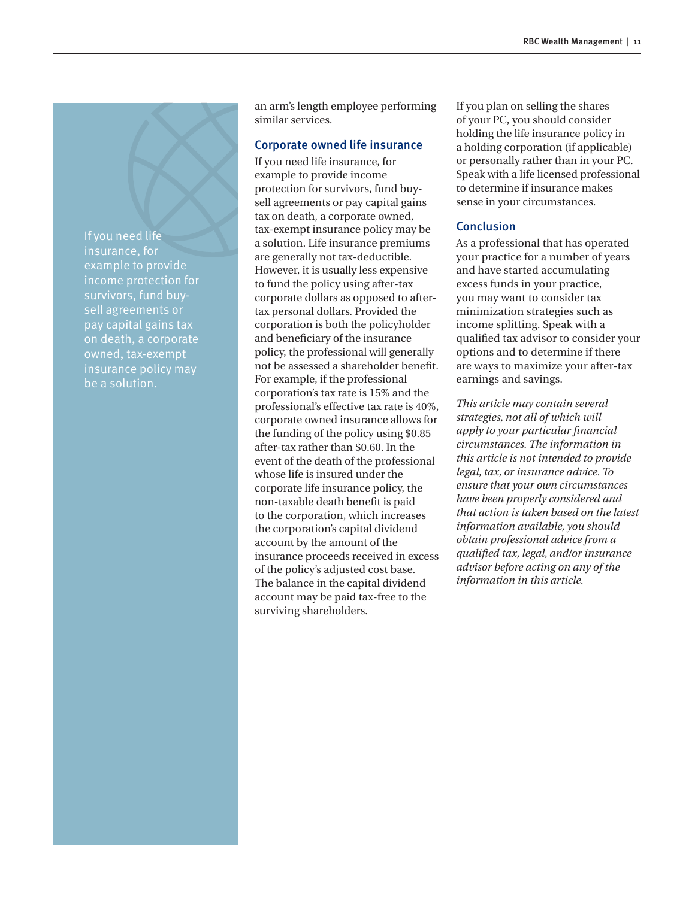If you need life insurance, for example to provide income protection for survivors, fund buysell agreements or pay capital gains tax on death, a corporate owned, tax-exempt insurance policy may be a solution.

an arm's length employee performing similar services.

#### Corporate owned life insurance

If you need life insurance, for example to provide income protection for survivors, fund buysell agreements or pay capital gains tax on death, a corporate owned, tax-exempt insurance policy may be a solution. Life insurance premiums are generally not tax-deductible. However, it is usually less expensive to fund the policy using after-tax corporate dollars as opposed to aftertax personal dollars. Provided the corporation is both the policyholder and beneficiary of the insurance policy, the professional will generally not be assessed a shareholder benefit. For example, if the professional corporation's tax rate is 15% and the professional's effective tax rate is 40%, corporate owned insurance allows for the funding of the policy using \$0.85 after-tax rather than \$0.60. In the event of the death of the professional whose life is insured under the corporate life insurance policy, the non-taxable death benefit is paid to the corporation, which increases the corporation's capital dividend account by the amount of the insurance proceeds received in excess of the policy's adjusted cost base. The balance in the capital dividend account may be paid tax-free to the surviving shareholders.

If you plan on selling the shares of your PC, you should consider holding the life insurance policy in a holding corporation (if applicable) or personally rather than in your PC. Speak with a life licensed professional to determine if insurance makes sense in your circumstances.

#### Conclusion

As a professional that has operated your practice for a number of years and have started accumulating excess funds in your practice, you may want to consider tax minimization strategies such as income splitting. Speak with a qualified tax advisor to consider your options and to determine if there are ways to maximize your after-tax earnings and savings.

*This article may contain several strategies, not all of which will apply to your particular financial circumstances. The information in this article is not intended to provide legal, tax, or insurance advice. To ensure that your own circumstances have been properly considered and that action is taken based on the latest information available, you should obtain professional advice from a qualified tax, legal, and/or insurance advisor before acting on any of the information in this article.*